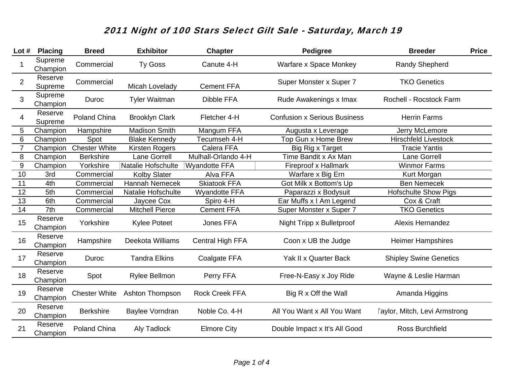| Lot $#$        | <b>Placing</b>      | <b>Breed</b>         | <b>Exhibitor</b>       | <b>Chapter</b>        | <b>Pedigree</b>                     | <b>Breeder</b>                       | <b>Price</b> |
|----------------|---------------------|----------------------|------------------------|-----------------------|-------------------------------------|--------------------------------------|--------------|
| 1              | Supreme<br>Champion | Commercial           | <b>Ty Goss</b>         | Canute 4-H            | Warfare x Space Monkey              | <b>Randy Shepherd</b>                |              |
| $\overline{2}$ | Reserve<br>Supreme  | Commercial           | Micah Lovelady         | <b>Cement FFA</b>     | Super Monster x Super 7             | <b>TKO Genetics</b>                  |              |
| 3              | Supreme<br>Champion | Duroc                | <b>Tyler Waitman</b>   | <b>Dibble FFA</b>     | Rude Awakenings x Imax              | Rochell - Rocstock Farm              |              |
| 4              | Reserve<br>Supreme  | Poland China         | <b>Brooklyn Clark</b>  | Fletcher 4-H          | <b>Confusion x Serious Business</b> | <b>Herrin Farms</b>                  |              |
| 5              | Champion            | Hampshire            | <b>Madison Smith</b>   | Mangum FFA            | Augusta x Leverage                  | Jerry McLemore                       |              |
| 6              | Champion            | Spot                 | <b>Blake Kennedy</b>   | Tecumseh 4-H          | Top Gun x Home Brew                 | <b>Hirschfeld Livestock</b>          |              |
| 7              | Champion            | <b>Chester White</b> | Kirsten Rogers         | Calera FFA            | Big Rig x Target                    | <b>Tracie Yantis</b>                 |              |
| 8              | Champion            | <b>Berkshire</b>     | Lane Gorrell           | Mulhall-Orlando 4-H   | Time Bandit x Ax Man                | Lane Gorrell                         |              |
| $9\,$          | Champion            | Yorkshire            | Natalie Hofschulte     | <b>Wyandotte FFA</b>  | Fireproof x Hallmark                | <b>Winmor Farms</b>                  |              |
| 10             | 3rd                 | Commercial           | <b>Kolby Slater</b>    | Alva FFA              | Warfare x Big Ern                   | Kurt Morgan                          |              |
| 11             | 4th                 | Commercial           | Hannah Nemecek         | <b>Skiatook FFA</b>   | Got Milk x Bottom's Up              | <b>Ben Nemecek</b>                   |              |
| 12             | 5th                 | Commercial           | Natalie Hofschulte     | <b>Wyandotte FFA</b>  | Paparazzi x Bodysuit                | <b>Hofschulte Show Pigs</b>          |              |
| 13             | 6th                 | Commercial           | Jaycee Cox             | Spiro 4-H             | Ear Muffs x I Am Legend             | Cox & Craft                          |              |
| 14             | 7th                 | Commercial           | <b>Mitchell Pierce</b> | <b>Cement FFA</b>     | Super Monster x Super 7             | <b>TKO Genetics</b>                  |              |
| 15             | Reserve<br>Champion | Yorkshire            | <b>Kylee Poteet</b>    | Jones FFA             | Night Tripp x Bulletproof           | <b>Alexis Hernandez</b>              |              |
| 16             | Reserve<br>Champion | Hampshire            | Deekota Williams       | Central High FFA      | Coon x UB the Judge                 | <b>Heimer Hampshires</b>             |              |
| 17             | Reserve<br>Champion | Duroc                | <b>Tandra Elkins</b>   | <b>Coalgate FFA</b>   | Yak II x Quarter Back               | <b>Shipley Swine Genetics</b>        |              |
| 18             | Reserve<br>Champion | Spot                 | Rylee Bellmon          | Perry FFA             | Free-N-Easy x Joy Ride              | Wayne & Leslie Harman                |              |
| 19             | Reserve<br>Champion | <b>Chester White</b> | <b>Ashton Thompson</b> | <b>Rock Creek FFA</b> | Big R x Off the Wall                | Amanda Higgins                       |              |
| 20             | Reserve<br>Champion | <b>Berkshire</b>     | Baylee Vorndran        | Noble Co. 4-H         | All You Want x All You Want         | <b>Taylor, Mitch, Levi Armstrong</b> |              |
| 21             | Reserve<br>Champion | Poland China         | Aly Tadlock            | <b>Elmore City</b>    | Double Impact x It's All Good       | Ross Burchfield                      |              |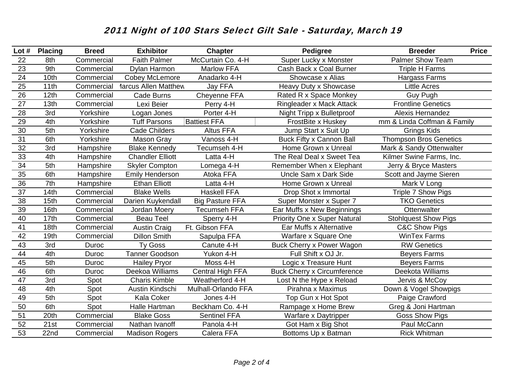| Lot $#$         | <b>Placing</b> | <b>Breed</b> | <b>Exhibitor</b>            | <b>Chapter</b>          | Pedigree                            | <b>Breeder</b>                | <b>Price</b> |
|-----------------|----------------|--------------|-----------------------------|-------------------------|-------------------------------------|-------------------------------|--------------|
| 22              | 8th            | Commercial   | <b>Faith Palmer</b>         | McCurtain Co. 4-H       | Super Lucky x Monster               | <b>Palmer Show Team</b>       |              |
| 23              | 9th            | Commercial   | Dylan Harmon                | <b>Marlow FFA</b>       | Cash Back x Coal Burner             | <b>Triple H Farms</b>         |              |
| 24              | 10th           | Commercial   | Cobey McLemore              | Anadarko 4-H            | Showcase x Alias                    | Hargass Farms                 |              |
| 25              | 11th           | Commercial   | <b>1arcus Allen Matthew</b> | Jay FFA                 | Heavy Duty x Showcase               | <b>Little Acres</b>           |              |
| 26              | 12th           | Commercial   | <b>Cade Burns</b>           | Cheyenne FFA            | Rated R x Space Monkey              | <b>Guy Pugh</b>               |              |
| 27              | 13th           | Commercial   | Lexi Beier                  | Perry 4-H               | <b>Ringleader x Mack Attack</b>     | <b>Frontline Genetics</b>     |              |
| 28              | 3rd            | Yorkshire    | Logan Jones                 | Porter 4-H              | Night Tripp x Bulletproof           | <b>Alexis Hernandez</b>       |              |
| 29              | 4th            | Yorkshire    | <b>Tuff Parsons</b>         | <b>Battiest FFA</b>     | FrostBite x Huskey                  | mm & Linda Coffman & Family   |              |
| 30              | 5th            | Yorkshire    | <b>Cade Childers</b>        | <b>Altus FFA</b>        | Jump Start x Suit Up                | <b>Grings Kids</b>            |              |
| 31              | 6th            | Yorkshire    | Mason Gray                  | Vanoss 4-H              | Buck Fifty x Cannon Ball            | <b>Thompson Bros Genetics</b> |              |
| $\overline{32}$ | 3rd            | Hampshire    | <b>Blake Kennedy</b>        | Tecumseh 4-H            | Home Grown x Unreal                 | Mark & Sandy Ottenwalter      |              |
| 33              | 4th            | Hampshire    | <b>Chandler Elliott</b>     | Latta 4-H               | The Real Deal x Sweet Tea           | Kilmer Swine Farms, Inc.      |              |
| 34              | 5th            | Hampshire    | <b>Skyler Compton</b>       | Lomega 4-H              | Remember When x Elephant            | Jerry & Bryce Masters         |              |
| 35              | 6th            | Hampshire    | <b>Emily Henderson</b>      | Atoka FFA               | Uncle Sam x Dark Side               | Scott and Jayme Sieren        |              |
| 36              | 7th            | Hampshire    | <b>Ethan Elliott</b>        | Latta 4-H               | Home Grown x Unreal                 | Mark V Long                   |              |
| 37              | 14th           | Commercial   | <b>Blake Wells</b>          | <b>Haskell FFA</b>      | Drop Shot x Immortal                | Triple 7 Show Pigs            |              |
| 38              | 15th           | Commercial   | Darien Kuykendall           | <b>Big Pasture FFA</b>  | Super Monster x Super 7             | <b>TKO Genetics</b>           |              |
| 39              | 16th           | Commercial   | Jordan Moery                | <b>Tecumseh FFA</b>     | Ear Muffs x New Beginnings          | Ottenwalter                   |              |
| 40              | 17th           | Commercial   | <b>Beau Teel</b>            | Sperry 4-H              | <b>Priority One x Super Natural</b> | <b>Stohlquest Show Pigs</b>   |              |
| 41              | 18th           | Commercial   | <b>Austin Craig</b>         | Ft. Gibson FFA          | Ear Muffs x Alternative             | C&C Show Pigs                 |              |
| 42              | 19th           | Commercial   | <b>Dillon Smith</b>         | Sapulpa FFA             | Warfare x Square One                | <b>WinTex Farms</b>           |              |
| 43              | 3rd            | Duroc        | <b>Ty Goss</b>              | Canute 4-H              | Buck Cherry x Power Wagon           | <b>RW Genetics</b>            |              |
| 44              | 4th            | Duroc        | <b>Tanner Goodson</b>       | Yukon 4-H               | Full Shift x OJ Jr.                 | <b>Beyers Farms</b>           |              |
| 45              | 5th            | Duroc        | <b>Hailey Pryor</b>         | Moss 4-H                | Logic x Treasure Hunt               | <b>Beyers Farms</b>           |              |
| 46              | 6th            | Duroc        | Deekoa Williams             | <b>Central High FFA</b> | <b>Buck Cherry x Circumference</b>  | Deekota Williams              |              |
| 47              | 3rd            | Spot         | <b>Charis Kimble</b>        | Weatherford 4-H         | Lost N the Hype x Reload            | Jervis & McCoy                |              |
| 48              | 4th            | Spot         | Austin Kindschi             | Mulhall-Orlando FFA     | Pirahna x Maximus                   | Down & Vogel Showpigs         |              |
| 49              | 5th            | Spot         | Kala Coker                  | Jones 4-H               | Top Gun x Hot Spot                  | Paige Crawford                |              |
| 50              | 6th            | Spot         | Halle Hartman               | Beckham Co. 4-H         | Rampage x Home Brew                 | Greg & Joni Hartman           |              |
| 51              | 20th           | Commercial   | <b>Blake Goss</b>           | <b>Sentinel FFA</b>     | Warfare x Daytripper                | <b>Goss Show Pigs</b>         |              |
| 52              | 21st           | Commercial   | Nathan Ivanoff              | Panola 4-H              | Got Ham x Big Shot                  | Paul McCann                   |              |
| 53              | 22nd           | Commercial   | <b>Madison Rogers</b>       | Calera FFA              | Bottoms Up x Batman                 | <b>Rick Whitman</b>           |              |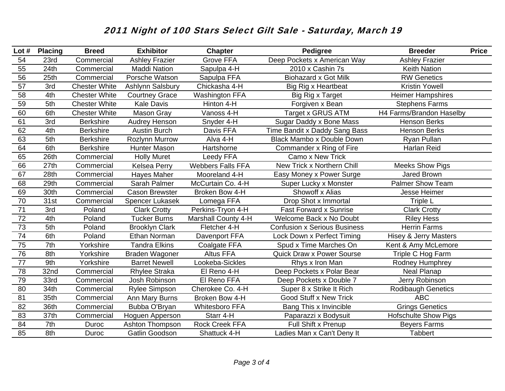| Lot $#$         | <b>Placing</b>   | <b>Breed</b>         | <b>Exhibitor</b>      | <b>Chapter</b>           | <b>Pedigree</b>                     | <b>Breeder</b>                   | <b>Price</b> |
|-----------------|------------------|----------------------|-----------------------|--------------------------|-------------------------------------|----------------------------------|--------------|
| 54              | 23rd             | Commercial           | <b>Ashley Frazier</b> | <b>Grove FFA</b>         | Deep Pockets x American Way         | <b>Ashley Frazier</b>            |              |
| 55              | 24th             | Commercial           | <b>Maddi Nation</b>   | Sapulpa 4-H              | 2010 x Cashin 7s                    | <b>Keith Nation</b>              |              |
| 56              | 25 <sub>th</sub> | Commercial           | Porsche Watson        | Sapulpa FFA              | <b>Biohazard x Got Milk</b>         | <b>RW Genetics</b>               |              |
| 57              | 3rd              | <b>Chester White</b> | Ashlynn Salsbury      | Chickasha 4-H            | <b>Big Rig x Heartbeat</b>          | <b>Kristin Yowell</b>            |              |
| $\overline{58}$ | 4th              | <b>Chester White</b> | <b>Courtney Grace</b> | <b>Washington FFA</b>    | Big Rig x Target                    | <b>Heimer Hampshires</b>         |              |
| 59              | 5th              | <b>Chester White</b> | <b>Kale Davis</b>     | Hinton 4-H               | Forgiven x Bean                     | <b>Stephens Farms</b>            |              |
| 60              | 6th              | <b>Chester White</b> | Mason Gray            | Vanoss 4-H               | Target x GRUS ATM                   | H4 Farms/Brandon Haselby         |              |
| 61              | 3rd              | <b>Berkshire</b>     | <b>Audrey Henson</b>  | Snyder 4-H               | Sugar Daddy x Bone Mass             | <b>Henson Berks</b>              |              |
| 62              | 4th              | Berkshire            | <b>Austin Burch</b>   | Davis FFA                | Time Bandit x Daddy Sang Bass       | Henson Berks                     |              |
| 63              | 5th              | <b>Berkshire</b>     | Rozlynn Murrow        | Alva 4-H                 | <b>Black Mambo x Double Down</b>    | Ryan Pullan                      |              |
| 64              | 6th              | <b>Berkshire</b>     | Hunter Mason          | Hartshorne               | Commander x Ring of Fire            | Harlan Reid                      |              |
| 65              | 26th             | Commercial           | <b>Holly Muret</b>    | Leedy FFA                | Camo x New Trick                    |                                  |              |
| 66              | 27th             | Commercial           | <b>Kelsea Perry</b>   | <b>Webbers Falls FFA</b> | New Trick x Northern Chill          | <b>Meeks Show Pigs</b>           |              |
| 67              | 28th             | Commercial           | Hayes Maher           | Mooreland 4-H            | Easy Money x Power Surge            | <b>Jared Brown</b>               |              |
| 68              | 29th             | Commercial           | Sarah Palmer          | McCurtain Co. 4-H        | Super Lucky x Monster               | <b>Palmer Show Team</b>          |              |
| 69              | 30th             | Commercial           | <b>Cason Brewster</b> | Broken Bow 4-H           | Showoff x Alias                     | Jesse Heimer                     |              |
| 70              | 31st             | Commercial           | Spencer Lukasek       | Lomega FFA               | Drop Shot x Immortal                | Triple L                         |              |
| 71              | 3rd              | Poland               | <b>Clark Crotty</b>   | Perkins-Tryon 4-H        | <b>Fast Forward x Sunrise</b>       | <b>Clark Crotty</b>              |              |
| 72              | 4th              | Poland               | <b>Tucker Burns</b>   | Marshall County 4-H      | Welcome Back x No Doubt             | <b>Riley Hess</b>                |              |
| 73              | 5th              | Poland               | <b>Brooklyn Clark</b> | Fletcher 4-H             | <b>Confusion x Serious Business</b> | <b>Herrin Farms</b>              |              |
| 74              | 6th              | Poland               | Ethan Norman          | Davenport FFA            | Lock Down x Perfect Timing          | <b>Hisey &amp; Jerry Masters</b> |              |
| 75              | 7th              | Yorkshire            | <b>Tandra Elkins</b>  | Coalgate FFA             | Spud x Time Marches On              | Kent & Amy McLemore              |              |
| 76              | 8th              | Yorkshire            | Braden Wagoner        | <b>Altus FFA</b>         | <b>Quick Draw x Power Sourse</b>    | Triple C Hog Farm                |              |
| 77              | 9th              | Yorkshire            | <b>Barret Newell</b>  | Lookeba-Sickles          | Rhys x Iron Man                     | Rodney Humphrey                  |              |
| 78              | 32nd             | Commercial           | <b>Rhylee Straka</b>  | El Reno 4-H              | Deep Pockets x Polar Bear           | Neal Planap                      |              |
| 79              | 33rd             | Commercial           | Josh Robinson         | El Reno FFA              | Deep Pockets x Double 7             | Jerry Robinson                   |              |
| 80              | 34th             | Commercial           | <b>Rylee Simpson</b>  | Cherokee Co. 4-H         | Super 8 x Strike It Rich            | <b>Rodibaugh Genetics</b>        |              |
| 81              | 35th             | Commercial           | Ann Mary Burns        | Broken Bow 4-H           | <b>Good Stuff x New Trick</b>       | ABC                              |              |
| 82              | 36th             | Commercial           | Bubba O'Bryan         | <b>Whitesboro FFA</b>    | Bang This x Invincible              | <b>Grings Genetics</b>           |              |
| 83              | 37th             | Commercial           | Hoguen Apperson       | Starr 4-H                | Paparazzi x Bodysuit                | <b>Hofschulte Show Pigs</b>      |              |
| 84              | 7th              | Duroc                | Ashton Thompson       | Rock Creek FFA           | Full Shift x Prenup                 | <b>Beyers Farms</b>              |              |
| 85              | 8th              | Duroc                | Gatlin Goodson        | Shattuck 4-H             | Ladies Man x Can't Deny It          | <b>Tabbert</b>                   |              |